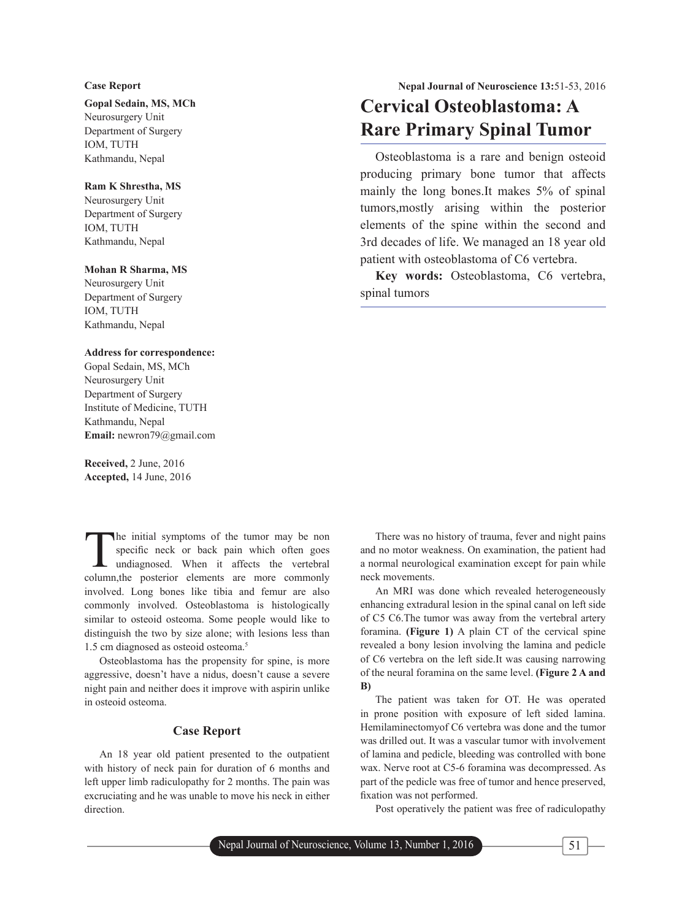**Gopal Sedain, MS, MCh**

Neurosurgery Unit Department of Surgery IOM, TUTH Kathmandu, Nepal

#### **Ram K Shrestha, MS**

Neurosurgery Unit Department of Surgery IOM, TUTH Kathmandu, Nepal

#### **Mohan R Sharma, MS**

Neurosurgery Unit Department of Surgery IOM, TUTH Kathmandu, Nepal

### **Address for correspondence:**

Gopal Sedain, MS, MCh Neurosurgery Unit Department of Surgery Institute of Medicine, TUTH Kathmandu, Nepal **Email:** newron79@gmail.com

**Received,** 2 June, 2016 **Accepted,** 14 June, 2016

The initial symptoms of the tumor may be non<br>specific neck or back pain which often goes<br>undiagnosed. When it affects the vertebral specific neck or back pain which often goes undiagnosed. When it affects the vertebral column,the posterior elements are more commonly involved. Long bones like tibia and femur are also commonly involved. Osteoblastoma is histologically similar to osteoid osteoma. Some people would like to distinguish the two by size alone; with lesions less than 1.5 cm diagnosed as osteoid osteoma.<sup>5</sup>

Osteoblastoma has the propensity for spine, is more aggressive, doesn't have a nidus, doesn't cause a severe night pain and neither does it improve with aspirin unlike in osteoid osteoma.

#### **Case Report**

An 18 year old patient presented to the outpatient with history of neck pain for duration of 6 months and left upper limb radiculopathy for 2 months. The pain was excruciating and he was unable to move his neck in either direction.

# **Cervical Osteoblastoma: A Rare Primary Spinal Tumor**

Osteoblastoma is a rare and benign osteoid producing primary bone tumor that affects mainly the long bones.It makes 5% of spinal tumors,mostly arising within the posterior elements of the spine within the second and 3rd decades of life. We managed an 18 year old patient with osteoblastoma of C6 vertebra.

**Key words:** Osteoblastoma, C6 vertebra, spinal tumors

There was no history of trauma, fever and night pains and no motor weakness. On examination, the patient had a normal neurological examination except for pain while neck movements.

An MRI was done which revealed heterogeneously enhancing extradural lesion in the spinal canal on left side of C5 C6.The tumor was away from the vertebral artery foramina. **(Figure 1)** A plain CT of the cervical spine revealed a bony lesion involving the lamina and pedicle of C6 vertebra on the left side.It was causing narrowing of the neural foramina on the same level. **(Figure 2 A and B)**

The patient was taken for OT. He was operated in prone position with exposure of left sided lamina. Hemilaminectomyof C6 vertebra was done and the tumor was drilled out. It was a vascular tumor with involvement of lamina and pedicle, bleeding was controlled with bone wax. Nerve root at C5-6 foramina was decompressed. As part of the pedicle was free of tumor and hence preserved, fixation was not performed.

Post operatively the patient was free of radiculopathy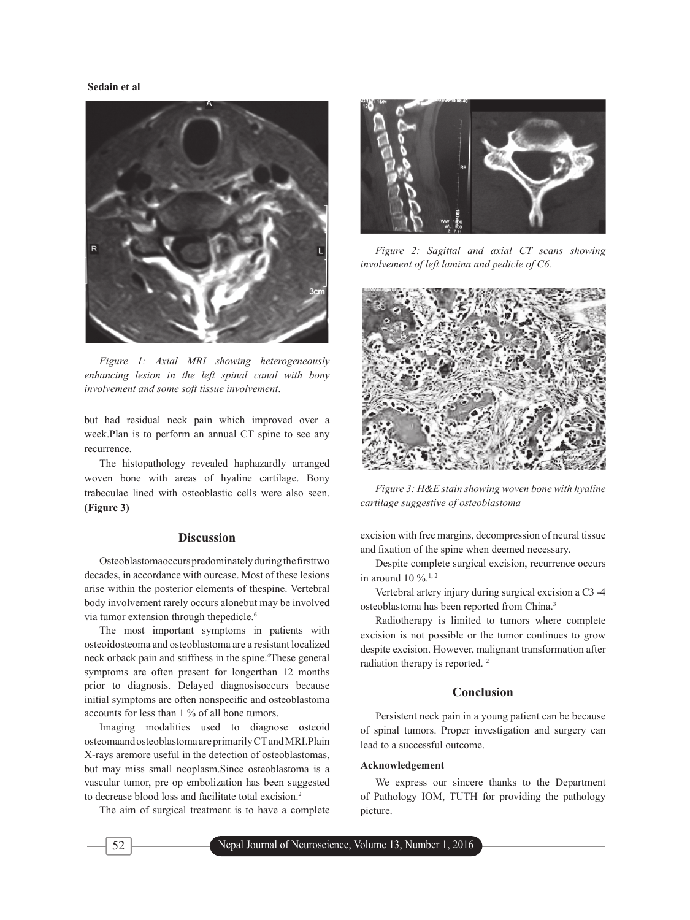#### **Sedain et al**



*Figure 1: Axial MRI showing heterogeneously enhancing lesion in the left spinal canal with bony involvement and some soft tissue involvement*.

but had residual neck pain which improved over a week.Plan is to perform an annual CT spine to see any recurrence.

The histopathology revealed haphazardly arranged woven bone with areas of hyaline cartilage. Bony trabeculae lined with osteoblastic cells were also seen. **(Figure 3)**

#### **Discussion**

Osteoblastomaoccurs predominately during the first two decades, in accordance with ourcase. Most of these lesions arise within the posterior elements of thespine. Vertebral body involvement rarely occurs alonebut may be involved via tumor extension through thepedicle.<sup>6</sup>

The most important symptoms in patients with osteoidosteoma and osteoblastoma are a resistant localized neck orback pain and stiffness in the spine.4 These general symptoms are often present for longerthan 12 months prior to diagnosis. Delayed diagnosisoccurs because initial symptoms are often nonspecific and osteoblastoma accounts for less than 1 % of all bone tumors.

Imaging modalities used to diagnose osteoid osteomaand osteoblastoma are primarily CT and MRI.Plain X-rays aremore useful in the detection of osteoblastomas, but may miss small neoplasm.Since osteoblastoma is a vascular tumor, pre op embolization has been suggested to decrease blood loss and facilitate total excision.<sup>2</sup>

The aim of surgical treatment is to have a complete



*Figure 2: Sagittal and axial CT scans showing involvement of left lamina and pedicle of C6.*



*Figure 3: H&E stain showing woven bone with hyaline cartilage suggestive of osteoblastoma*

excision with free margins, decompression of neural tissue and fixation of the spine when deemed necessary.

Despite complete surgical excision, recurrence occurs in around 10  $\%$ .<sup>1, 2</sup>

Vertebral artery injury during surgical excision a C3 -4 osteoblastoma has been reported from China.3

Radiotherapy is limited to tumors where complete excision is not possible or the tumor continues to grow despite excision. However, malignant transformation after radiation therapy is reported. 2

#### **Conclusion**

Persistent neck pain in a young patient can be because of spinal tumors. Proper investigation and surgery can lead to a successful outcome.

#### **Acknowledgement**

We express our sincere thanks to the Department of Pathology IOM, TUTH for providing the pathology picture.